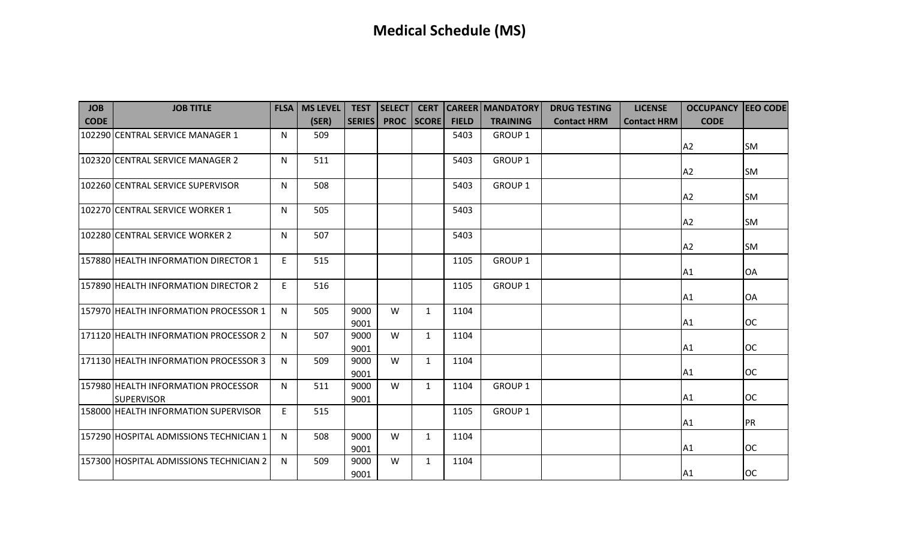| <b>JOB</b>  | <b>JOB TITLE</b>                                         |   | <b>FLSA   MS LEVEL</b> | <b>TEST</b>   | <b>SELECT</b> | <b>CERT</b>  |              | <b>CAREER MANDATORY</b> | <b>DRUG TESTING</b> | <b>LICENSE</b>     | <b>OCCUPANCY JEEO CODE</b> |           |
|-------------|----------------------------------------------------------|---|------------------------|---------------|---------------|--------------|--------------|-------------------------|---------------------|--------------------|----------------------------|-----------|
| <b>CODE</b> |                                                          |   | (SER)                  | <b>SERIES</b> | <b>PROC</b>   | <b>SCORE</b> | <b>FIELD</b> | <b>TRAINING</b>         | <b>Contact HRM</b>  | <b>Contact HRM</b> | <b>CODE</b>                |           |
|             | 102290 CENTRAL SERVICE MANAGER 1                         | N | 509                    |               |               |              | 5403         | GROUP 1                 |                     |                    | A2                         | lsm       |
|             | 102320 CENTRAL SERVICE MANAGER 2                         | N | 511                    |               |               |              | 5403         | <b>GROUP 1</b>          |                     |                    | A2                         | lsm       |
|             | 102260 CENTRAL SERVICE SUPERVISOR                        | N | 508                    |               |               |              | 5403         | <b>GROUP 1</b>          |                     |                    | A <sub>2</sub>             | <b>SM</b> |
|             | 102270 CENTRAL SERVICE WORKER 1                          | N | 505                    |               |               |              | 5403         |                         |                     |                    | A <sub>2</sub>             | lsm       |
|             | 102280 CENTRAL SERVICE WORKER 2                          | N | 507                    |               |               |              | 5403         |                         |                     |                    | A <sub>2</sub>             | lsm       |
|             | 157880 HEALTH INFORMATION DIRECTOR 1                     | E | 515                    |               |               |              | 1105         | <b>GROUP 1</b>          |                     |                    | A1                         | <b>OA</b> |
|             | 157890 HEALTH INFORMATION DIRECTOR 2                     | E | 516                    |               |               |              | 1105         | <b>GROUP 1</b>          |                     |                    | A1                         | OA        |
|             | 157970 HEALTH INFORMATION PROCESSOR 1                    | N | 505                    | 9000<br>9001  | W             | $\mathbf{1}$ | 1104         |                         |                     |                    | A1                         | loc       |
|             | 171120 HEALTH INFORMATION PROCESSOR 2                    | N | 507                    | 9000<br>9001  | W             | $\mathbf{1}$ | 1104         |                         |                     |                    | A1                         | loc       |
|             | 171130 HEALTH INFORMATION PROCESSOR 3                    | N | 509                    | 9000<br>9001  | W             | $\mathbf{1}$ | 1104         |                         |                     |                    | A1                         | loc       |
|             | 157980 HEALTH INFORMATION PROCESSOR<br><b>SUPERVISOR</b> | N | 511                    | 9000<br>9001  | W             | $\mathbf{1}$ | 1104         | <b>GROUP 1</b>          |                     |                    | A1                         | loc       |
|             | 158000 HEALTH INFORMATION SUPERVISOR                     | E | 515                    |               |               |              | 1105         | <b>GROUP 1</b>          |                     |                    | A1                         | PR        |
|             | 157290 HOSPITAL ADMISSIONS TECHNICIAN 1                  | N | 508                    | 9000<br>9001  | W             | $\mathbf{1}$ | 1104         |                         |                     |                    | A1                         | loc       |
|             | 157300 HOSPITAL ADMISSIONS TECHNICIAN 2                  | N | 509                    | 9000<br>9001  | W             | $\mathbf{1}$ | 1104         |                         |                     |                    | A <sub>1</sub>             | loc       |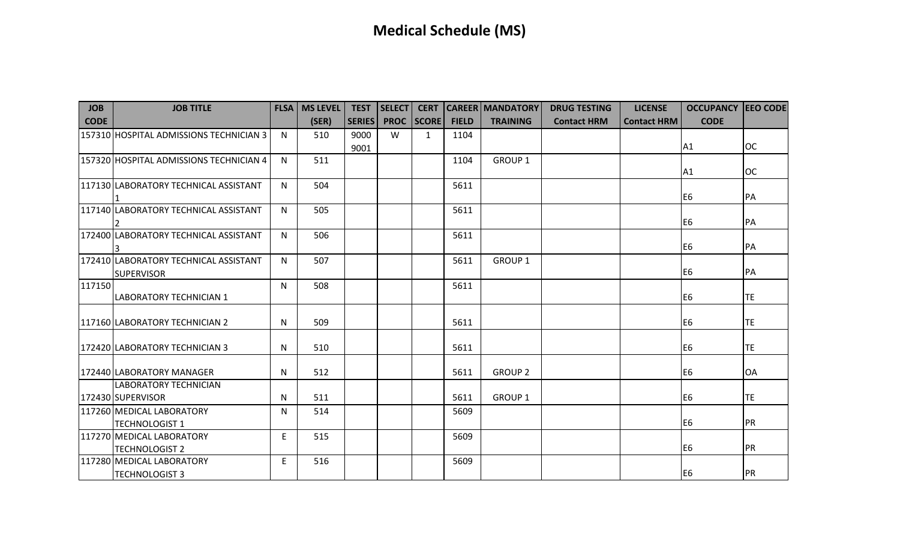| <b>JOB</b>  | <b>JOB TITLE</b>                                           | <b>FLSA</b>  | <b>MS LEVEL</b> | <b>TEST</b>   | <b>SELECT</b> | <b>CERT</b>  |              | <b>CAREER MANDATORY</b> | <b>DRUG TESTING</b> | <b>LICENSE</b>     | <b>OCCUPANCY EEO CODE</b> |            |
|-------------|------------------------------------------------------------|--------------|-----------------|---------------|---------------|--------------|--------------|-------------------------|---------------------|--------------------|---------------------------|------------|
| <b>CODE</b> |                                                            |              | (SER)           | <b>SERIES</b> | <b>PROC</b>   | <b>SCORE</b> | <b>FIELD</b> | <b>TRAINING</b>         | <b>Contact HRM</b>  | <b>Contact HRM</b> | <b>CODE</b>               |            |
|             | 157310 HOSPITAL ADMISSIONS TECHNICIAN 3                    | N            | 510             | 9000          | W             | $\mathbf{1}$ | 1104         |                         |                     |                    |                           |            |
|             |                                                            |              |                 | 9001          |               |              |              |                         |                     |                    | A <sub>1</sub>            | loc        |
|             | 157320 HOSPITAL ADMISSIONS TECHNICIAN 4                    | N.           | 511             |               |               |              | 1104         | <b>GROUP 1</b>          |                     |                    | A1                        | loc        |
|             | 117130 LABORATORY TECHNICAL ASSISTANT                      | $\mathsf{N}$ | 504             |               |               |              | 5611         |                         |                     |                    | E <sub>6</sub>            | <b>IPA</b> |
|             | 117140 LABORATORY TECHNICAL ASSISTANT                      | N.           | 505             |               |               |              | 5611         |                         |                     |                    | E <sub>6</sub>            | <b>PA</b>  |
|             | 172400 LABORATORY TECHNICAL ASSISTANT                      | $\mathsf{N}$ | 506             |               |               |              | 5611         |                         |                     |                    | E <sub>6</sub>            | <b>PA</b>  |
|             | 172410 LABORATORY TECHNICAL ASSISTANT<br><b>SUPERVISOR</b> | $\mathsf{N}$ | 507             |               |               |              | 5611         | <b>GROUP 1</b>          |                     |                    | E <sub>6</sub>            | <b>PA</b>  |
| 117150      | <b>LABORATORY TECHNICIAN 1</b>                             | N            | 508             |               |               |              | 5611         |                         |                     |                    | E <sub>6</sub>            | <b>TE</b>  |
|             | 117160 LABORATORY TECHNICIAN 2                             | N            | 509             |               |               |              | 5611         |                         |                     |                    | E <sub>6</sub>            | <b>TE</b>  |
|             | 172420 LABORATORY TECHNICIAN 3                             | N            | 510             |               |               |              | 5611         |                         |                     |                    | E <sub>6</sub>            | <b>TE</b>  |
|             | 172440 LABORATORY MANAGER                                  | N            | 512             |               |               |              | 5611         | <b>GROUP 2</b>          |                     |                    | E <sub>6</sub>            | <b>OA</b>  |
|             | <b>LABORATORY TECHNICIAN</b><br>172430 SUPERVISOR          | N            | 511             |               |               |              | 5611         | <b>GROUP 1</b>          |                     |                    | E <sub>6</sub>            | <b>TE</b>  |
|             | 117260 MEDICAL LABORATORY<br><b>TECHNOLOGIST 1</b>         | N            | 514             |               |               |              | 5609         |                         |                     |                    | E <sub>6</sub>            | <b>IPR</b> |
|             | 117270 MEDICAL LABORATORY<br><b>TECHNOLOGIST 2</b>         | E            | 515             |               |               |              | 5609         |                         |                     |                    | E <sub>6</sub>            | <b>IPR</b> |
|             | 117280 MEDICAL LABORATORY<br><b>TECHNOLOGIST 3</b>         | E            | 516             |               |               |              | 5609         |                         |                     |                    | E <sub>6</sub>            | <b>IPR</b> |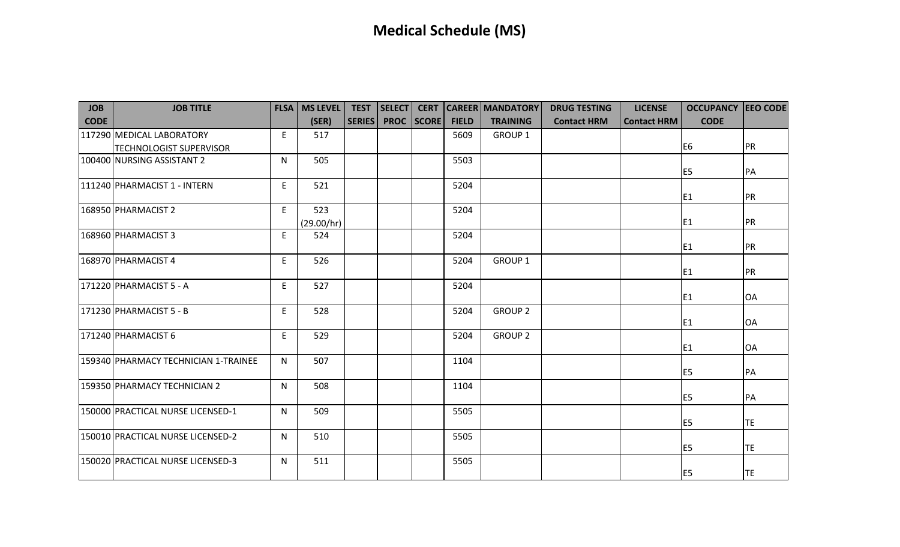| <b>JOB</b>  | <b>JOB TITLE</b>                     |   | <b>FLSA   MS LEVEL</b> | <b>TEST</b>   | <b>SELECT</b> | <b>CERT</b>       |              | <b>CAREER MANDATORY</b> | <b>DRUG TESTING</b> | <b>LICENSE</b>     | <b>OCCUPANCY EEO CODE</b> |           |
|-------------|--------------------------------------|---|------------------------|---------------|---------------|-------------------|--------------|-------------------------|---------------------|--------------------|---------------------------|-----------|
| <b>CODE</b> |                                      |   | (SER)                  | <b>SERIES</b> |               | <b>PROC SCORE</b> | <b>FIELD</b> | <b>TRAINING</b>         | <b>Contact HRM</b>  | <b>Contact HRM</b> | <b>CODE</b>               |           |
|             | 117290 MEDICAL LABORATORY            | E | 517                    |               |               |                   | 5609         | GROUP 1                 |                     |                    |                           |           |
|             | <b>TECHNOLOGIST SUPERVISOR</b>       |   |                        |               |               |                   |              |                         |                     |                    | E <sub>6</sub>            | <b>PR</b> |
|             | 100400 NURSING ASSISTANT 2           | N | 505                    |               |               |                   | 5503         |                         |                     |                    | E <sub>5</sub>            | <b>PA</b> |
|             | 111240 PHARMACIST 1 - INTERN         | E | 521                    |               |               |                   | 5204         |                         |                     |                    | E <sub>1</sub>            | PR        |
|             | 168950 PHARMACIST 2                  | E | 523<br>(29.00/hr)      |               |               |                   | 5204         |                         |                     |                    | E <sub>1</sub>            | PR        |
|             | 168960 PHARMACIST 3                  | E | 524                    |               |               |                   | 5204         |                         |                     |                    | E <sub>1</sub>            | PR        |
|             | 168970 PHARMACIST 4                  | E | 526                    |               |               |                   | 5204         | <b>GROUP 1</b>          |                     |                    | E <sub>1</sub>            | <b>PR</b> |
|             | 171220 PHARMACIST 5 - A              | E | 527                    |               |               |                   | 5204         |                         |                     |                    | E <sub>1</sub>            | <b>OA</b> |
|             | 171230 PHARMACIST 5 - B              | E | 528                    |               |               |                   | 5204         | <b>GROUP 2</b>          |                     |                    | E <sub>1</sub>            | OA        |
|             | 171240 PHARMACIST 6                  | E | 529                    |               |               |                   | 5204         | <b>GROUP 2</b>          |                     |                    | E <sub>1</sub>            | OA        |
|             | 159340 PHARMACY TECHNICIAN 1-TRAINEE | N | 507                    |               |               |                   | 1104         |                         |                     |                    | E <sub>5</sub>            | PA        |
|             | 159350 PHARMACY TECHNICIAN 2         | N | 508                    |               |               |                   | 1104         |                         |                     |                    | E <sub>5</sub>            | PA        |
|             | 150000 PRACTICAL NURSE LICENSED-1    | N | 509                    |               |               |                   | 5505         |                         |                     |                    | E <sub>5</sub>            | TE        |
|             | 150010 PRACTICAL NURSE LICENSED-2    | N | 510                    |               |               |                   | 5505         |                         |                     |                    | E <sub>5</sub>            | TE        |
|             | 150020 PRACTICAL NURSE LICENSED-3    | N | 511                    |               |               |                   | 5505         |                         |                     |                    | E <sub>5</sub>            | TE        |